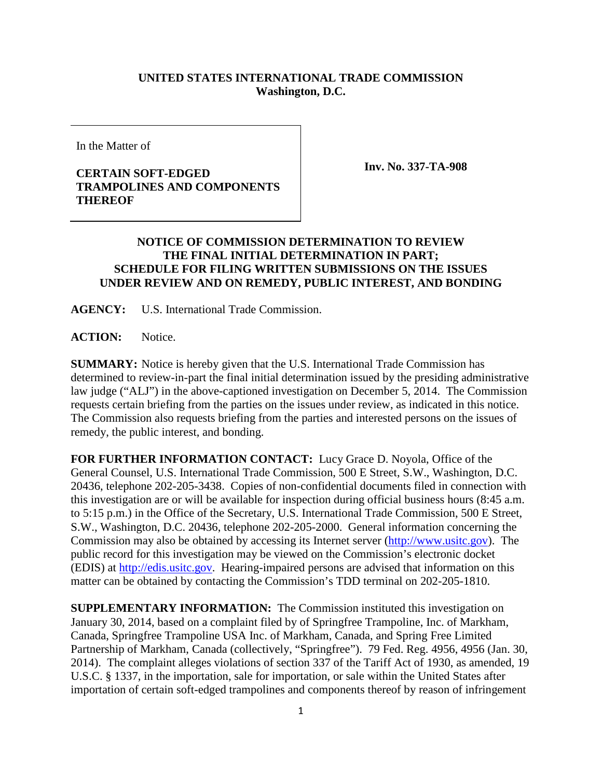## **UNITED STATES INTERNATIONAL TRADE COMMISSION Washington, D.C.**

In the Matter of

## **CERTAIN SOFT-EDGED TRAMPOLINES AND COMPONENTS THEREOF**

**Inv. No. 337-TA-908**

## **NOTICE OF COMMISSION DETERMINATION TO REVIEW THE FINAL INITIAL DETERMINATION IN PART; SCHEDULE FOR FILING WRITTEN SUBMISSIONS ON THE ISSUES UNDER REVIEW AND ON REMEDY, PUBLIC INTEREST, AND BONDING**

**AGENCY:** U.S. International Trade Commission.

**ACTION:** Notice.

**SUMMARY:** Notice is hereby given that the U.S. International Trade Commission has determined to review-in-part the final initial determination issued by the presiding administrative law judge ("ALJ") in the above-captioned investigation on December 5, 2014. The Commission requests certain briefing from the parties on the issues under review, as indicated in this notice. The Commission also requests briefing from the parties and interested persons on the issues of remedy, the public interest, and bonding.

**FOR FURTHER INFORMATION CONTACT:** Lucy Grace D. Noyola, Office of the General Counsel, U.S. International Trade Commission, 500 E Street, S.W., Washington, D.C. 20436, telephone 202-205-3438. Copies of non-confidential documents filed in connection with this investigation are or will be available for inspection during official business hours (8:45 a.m. to 5:15 p.m.) in the Office of the Secretary, U.S. International Trade Commission, 500 E Street, S.W., Washington, D.C. 20436, telephone 202-205-2000. General information concerning the Commission may also be obtained by accessing its Internet server [\(http://www.usitc.gov\)](http://www.usitc.gov/). The public record for this investigation may be viewed on the Commission's electronic docket (EDIS) at [http://edis.usitc.gov.](http://edis.usitc.gov/) Hearing-impaired persons are advised that information on this matter can be obtained by contacting the Commission's TDD terminal on 202-205-1810.

**SUPPLEMENTARY INFORMATION:** The Commission instituted this investigation on January 30, 2014, based on a complaint filed by of Springfree Trampoline, Inc. of Markham, Canada, Springfree Trampoline USA Inc. of Markham, Canada, and Spring Free Limited Partnership of Markham, Canada (collectively, "Springfree"). 79 Fed. Reg. 4956, 4956 (Jan. 30, 2014). The complaint alleges violations of section 337 of the Tariff Act of 1930, as amended, 19 U.S.C. § 1337, in the importation, sale for importation, or sale within the United States after importation of certain soft-edged trampolines and components thereof by reason of infringement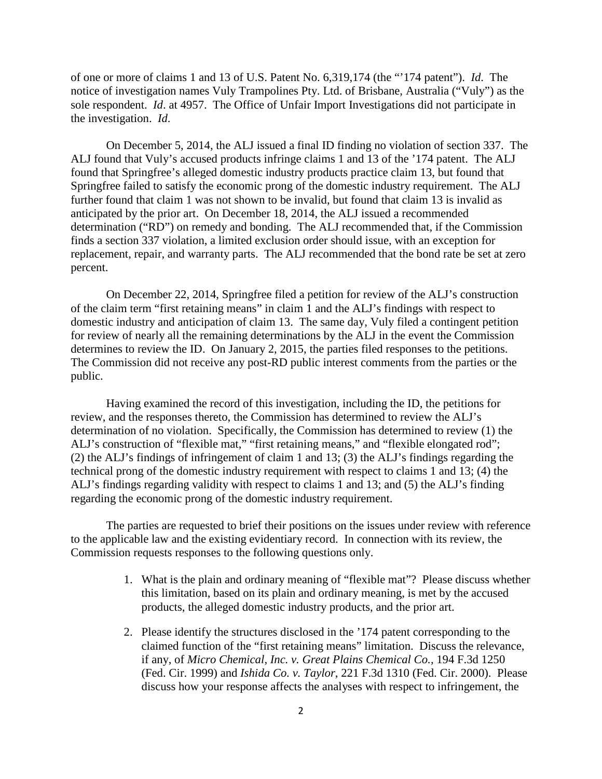of one or more of claims 1 and 13 of U.S. Patent No. 6,319,174 (the "'174 patent"). *Id*. The notice of investigation names Vuly Trampolines Pty. Ltd. of Brisbane, Australia ("Vuly") as the sole respondent. *Id*. at 4957. The Office of Unfair Import Investigations did not participate in the investigation. *Id*.

On December 5, 2014, the ALJ issued a final ID finding no violation of section 337. The ALJ found that Vuly's accused products infringe claims 1 and 13 of the '174 patent. The ALJ found that Springfree's alleged domestic industry products practice claim 13, but found that Springfree failed to satisfy the economic prong of the domestic industry requirement. The ALJ further found that claim 1 was not shown to be invalid, but found that claim 13 is invalid as anticipated by the prior art. On December 18, 2014, the ALJ issued a recommended determination ("RD") on remedy and bonding. The ALJ recommended that, if the Commission finds a section 337 violation, a limited exclusion order should issue, with an exception for replacement, repair, and warranty parts. The ALJ recommended that the bond rate be set at zero percent.

On December 22, 2014, Springfree filed a petition for review of the ALJ's construction of the claim term "first retaining means" in claim 1 and the ALJ's findings with respect to domestic industry and anticipation of claim 13. The same day, Vuly filed a contingent petition for review of nearly all the remaining determinations by the ALJ in the event the Commission determines to review the ID. On January 2, 2015, the parties filed responses to the petitions. The Commission did not receive any post-RD public interest comments from the parties or the public.

Having examined the record of this investigation, including the ID, the petitions for review, and the responses thereto, the Commission has determined to review the ALJ's determination of no violation. Specifically, the Commission has determined to review (1) the ALJ's construction of "flexible mat," "first retaining means," and "flexible elongated rod"; (2) the ALJ's findings of infringement of claim 1 and 13; (3) the ALJ's findings regarding the technical prong of the domestic industry requirement with respect to claims 1 and 13; (4) the ALJ's findings regarding validity with respect to claims 1 and 13; and (5) the ALJ's finding regarding the economic prong of the domestic industry requirement.

The parties are requested to brief their positions on the issues under review with reference to the applicable law and the existing evidentiary record. In connection with its review, the Commission requests responses to the following questions only.

- 1. What is the plain and ordinary meaning of "flexible mat"? Please discuss whether this limitation, based on its plain and ordinary meaning, is met by the accused products, the alleged domestic industry products, and the prior art.
- 2. Please identify the structures disclosed in the '174 patent corresponding to the claimed function of the "first retaining means" limitation. Discuss the relevance, if any, of *Micro Chemical, Inc. v. Great Plains Chemical Co.*, 194 F.3d 1250 (Fed. Cir. 1999) and *Ishida Co. v. Taylor*, 221 F.3d 1310 (Fed. Cir. 2000). Please discuss how your response affects the analyses with respect to infringement, the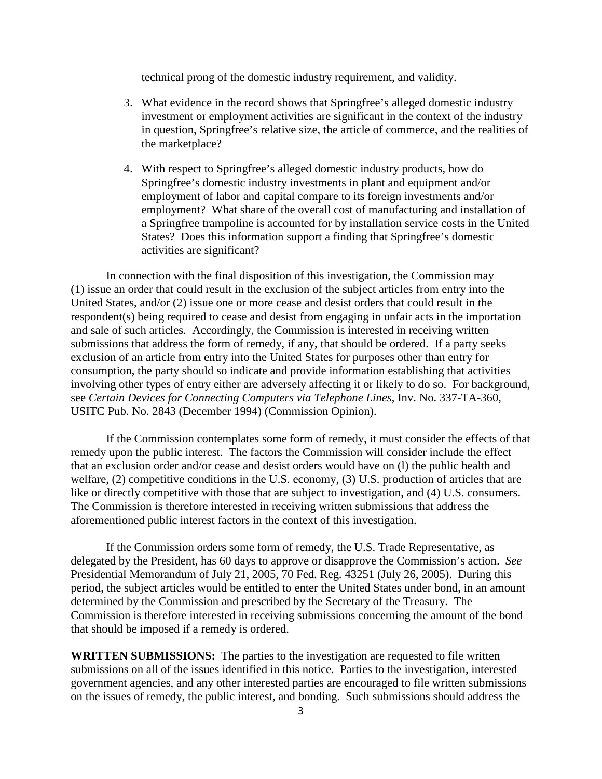technical prong of the domestic industry requirement, and validity.

- 3. What evidence in the record shows that Springfree's alleged domestic industry investment or employment activities are significant in the context of the industry in question, Springfree's relative size, the article of commerce, and the realities of the marketplace?
- 4. With respect to Springfree's alleged domestic industry products, how do Springfree's domestic industry investments in plant and equipment and/or employment of labor and capital compare to its foreign investments and/or employment? What share of the overall cost of manufacturing and installation of a Springfree trampoline is accounted for by installation service costs in the United States? Does this information support a finding that Springfree's domestic activities are significant?

In connection with the final disposition of this investigation, the Commission may (1) issue an order that could result in the exclusion of the subject articles from entry into the United States, and/or (2) issue one or more cease and desist orders that could result in the respondent(s) being required to cease and desist from engaging in unfair acts in the importation and sale of such articles. Accordingly, the Commission is interested in receiving written submissions that address the form of remedy, if any, that should be ordered. If a party seeks exclusion of an article from entry into the United States for purposes other than entry for consumption, the party should so indicate and provide information establishing that activities involving other types of entry either are adversely affecting it or likely to do so. For background, see *Certain Devices for Connecting Computers via Telephone Lines*, Inv. No. 337-TA-360, USITC Pub. No. 2843 (December 1994) (Commission Opinion).

If the Commission contemplates some form of remedy, it must consider the effects of that remedy upon the public interest. The factors the Commission will consider include the effect that an exclusion order and/or cease and desist orders would have on (l) the public health and welfare, (2) competitive conditions in the U.S. economy, (3) U.S. production of articles that are like or directly competitive with those that are subject to investigation, and (4) U.S. consumers. The Commission is therefore interested in receiving written submissions that address the aforementioned public interest factors in the context of this investigation.

If the Commission orders some form of remedy, the U.S. Trade Representative, as delegated by the President, has 60 days to approve or disapprove the Commission's action. *See* Presidential Memorandum of July 21, 2005, 70 Fed. Reg. 43251 (July 26, 2005). During this period, the subject articles would be entitled to enter the United States under bond, in an amount determined by the Commission and prescribed by the Secretary of the Treasury. The Commission is therefore interested in receiving submissions concerning the amount of the bond that should be imposed if a remedy is ordered.

**WRITTEN SUBMISSIONS:** The parties to the investigation are requested to file written submissions on all of the issues identified in this notice. Parties to the investigation, interested government agencies, and any other interested parties are encouraged to file written submissions on the issues of remedy, the public interest, and bonding. Such submissions should address the